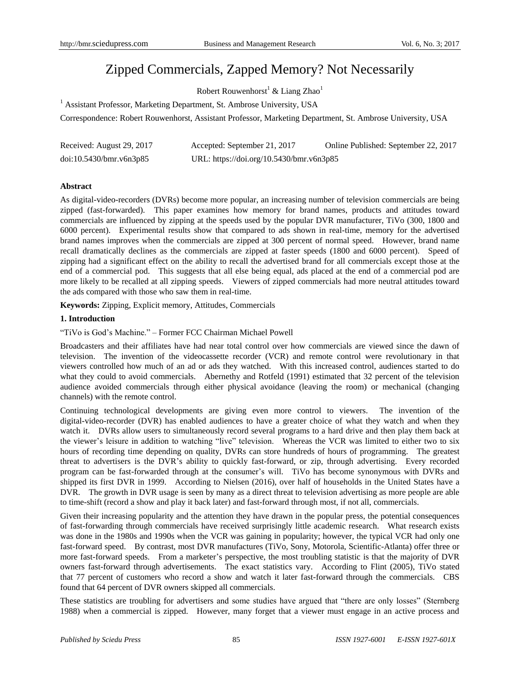# Zipped Commercials, Zapped Memory? Not Necessarily

Robert Rouwenhorst<sup>1</sup> & Liang Zhao<sup>1</sup>

<sup>1</sup> Assistant Professor, Marketing Department, St. Ambrose University, USA

Correspondence: Robert Rouwenhorst, Assistant Professor, Marketing Department, St. Ambrose University, USA

| Received: August 29, 2017 | Accepted: September 21, 2017             | Online Published: September 22, 2017 |
|---------------------------|------------------------------------------|--------------------------------------|
| doi:10.5430/bmr.v6n3p85   | URL: https://doi.org/10.5430/bmr.v6n3p85 |                                      |

## **Abstract**

As digital-video-recorders (DVRs) become more popular, an increasing number of television commercials are being zipped (fast-forwarded). This paper examines how memory for brand names, products and attitudes toward commercials are influenced by zipping at the speeds used by the popular DVR manufacturer, TiVo (300, 1800 and 6000 percent). Experimental results show that compared to ads shown in real-time, memory for the advertised brand names improves when the commercials are zipped at 300 percent of normal speed. However, brand name recall dramatically declines as the commercials are zipped at faster speeds (1800 and 6000 percent). Speed of zipping had a significant effect on the ability to recall the advertised brand for all commercials except those at the end of a commercial pod. This suggests that all else being equal, ads placed at the end of a commercial pod are more likely to be recalled at all zipping speeds. Viewers of zipped commercials had more neutral attitudes toward the ads compared with those who saw them in real-time.

**Keywords:** Zipping, Explicit memory, Attitudes, Commercials

## **1. Introduction**

"TiVo is God's Machine." – Former FCC Chairman Michael Powell

Broadcasters and their affiliates have had near total control over how commercials are viewed since the dawn of television. The invention of the videocassette recorder (VCR) and remote control were revolutionary in that viewers controlled how much of an ad or ads they watched. With this increased control, audiences started to do what they could to avoid commercials. Abernethy and Rotfeld (1991) estimated that 32 percent of the television audience avoided commercials through either physical avoidance (leaving the room) or mechanical (changing channels) with the remote control.

Continuing technological developments are giving even more control to viewers. The invention of the digital-video-recorder (DVR) has enabled audiences to have a greater choice of what they watch and when they watch it. DVRs allow users to simultaneously record several programs to a hard drive and then play them back at the viewer's leisure in addition to watching "live" television. Whereas the VCR was limited to either two to six hours of recording time depending on quality, DVRs can store hundreds of hours of programming. The greatest threat to advertisers is the DVR's ability to quickly fast-forward, or zip, through advertising. Every recorded program can be fast-forwarded through at the consumer's will. TiVo has become synonymous with DVRs and shipped its first DVR in 1999. According to Nielsen (2016), over half of households in the United States have a DVR. The growth in DVR usage is seen by many as a direct threat to television advertising as more people are able to time-shift (record a show and play it back later) and fast-forward through most, if not all, commercials.

Given their increasing popularity and the attention they have drawn in the popular press, the potential consequences of fast-forwarding through commercials have received surprisingly little academic research. What research exists was done in the 1980s and 1990s when the VCR was gaining in popularity; however, the typical VCR had only one fast-forward speed. By contrast, most DVR manufactures (TiVo, Sony, Motorola, Scientific-Atlanta) offer three or more fast-forward speeds. From a marketer's perspective, the most troubling statistic is that the majority of DVR owners fast-forward through advertisements. The exact statistics vary. According to Flint (2005), TiVo stated that 77 percent of customers who record a show and watch it later fast-forward through the commercials. CBS found that 64 percent of DVR owners skipped all commercials.

These statistics are troubling for advertisers and some studies have argued that "there are only losses" (Sternberg 1988) when a commercial is zipped. However, many forget that a viewer must engage in an active process and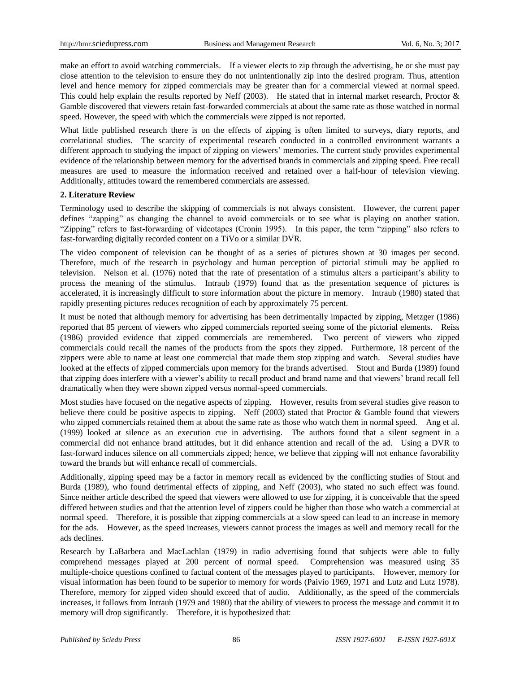make an effort to avoid watching commercials. If a viewer elects to zip through the advertising, he or she must pay close attention to the television to ensure they do not unintentionally zip into the desired program. Thus, attention level and hence memory for zipped commercials may be greater than for a commercial viewed at normal speed. This could help explain the results reported by Neff (2003). He stated that in internal market research, Proctor & Gamble discovered that viewers retain fast-forwarded commercials at about the same rate as those watched in normal speed. However, the speed with which the commercials were zipped is not reported.

What little published research there is on the effects of zipping is often limited to surveys, diary reports, and correlational studies. The scarcity of experimental research conducted in a controlled environment warrants a different approach to studying the impact of zipping on viewers' memories. The current study provides experimental evidence of the relationship between memory for the advertised brands in commercials and zipping speed. Free recall measures are used to measure the information received and retained over a half-hour of television viewing. Additionally, attitudes toward the remembered commercials are assessed.

# **2. Literature Review**

Terminology used to describe the skipping of commercials is not always consistent. However, the current paper defines "zapping" as changing the channel to avoid commercials or to see what is playing on another station. "Zipping" refers to fast-forwarding of videotapes (Cronin 1995). In this paper, the term "zipping" also refers to fast-forwarding digitally recorded content on a TiVo or a similar DVR.

The video component of television can be thought of as a series of pictures shown at 30 images per second. Therefore, much of the research in psychology and human perception of pictorial stimuli may be applied to television. Nelson et al. (1976) noted that the rate of presentation of a stimulus alters a participant's ability to process the meaning of the stimulus. Intraub (1979) found that as the presentation sequence of pictures is accelerated, it is increasingly difficult to store information about the picture in memory. Intraub (1980) stated that rapidly presenting pictures reduces recognition of each by approximately 75 percent.

It must be noted that although memory for advertising has been detrimentally impacted by zipping, Metzger (1986) reported that 85 percent of viewers who zipped commercials reported seeing some of the pictorial elements. Reiss (1986) provided evidence that zipped commercials are remembered. Two percent of viewers who zipped commercials could recall the names of the products from the spots they zipped. Furthermore, 18 percent of the zippers were able to name at least one commercial that made them stop zipping and watch. Several studies have looked at the effects of zipped commercials upon memory for the brands advertised. Stout and Burda (1989) found that zipping does interfere with a viewer's ability to recall product and brand name and that viewers' brand recall fell dramatically when they were shown zipped versus normal-speed commercials.

Most studies have focused on the negative aspects of zipping. However, results from several studies give reason to believe there could be positive aspects to zipping. Neff (2003) stated that Proctor & Gamble found that viewers who zipped commercials retained them at about the same rate as those who watch them in normal speed. Ang et al. (1999) looked at silence as an execution cue in advertising. The authors found that a silent segment in a commercial did not enhance brand attitudes, but it did enhance attention and recall of the ad. Using a DVR to fast-forward induces silence on all commercials zipped; hence, we believe that zipping will not enhance favorability toward the brands but will enhance recall of commercials.

Additionally, zipping speed may be a factor in memory recall as evidenced by the conflicting studies of Stout and Burda (1989), who found detrimental effects of zipping, and Neff (2003), who stated no such effect was found. Since neither article described the speed that viewers were allowed to use for zipping, it is conceivable that the speed differed between studies and that the attention level of zippers could be higher than those who watch a commercial at normal speed. Therefore, it is possible that zipping commercials at a slow speed can lead to an increase in memory for the ads. However, as the speed increases, viewers cannot process the images as well and memory recall for the ads declines.

Research by LaBarbera and MacLachlan (1979) in radio advertising found that subjects were able to fully comprehend messages played at 200 percent of normal speed. Comprehension was measured using 35 multiple-choice questions confined to factual content of the messages played to participants. However, memory for visual information has been found to be superior to memory for words (Paivio 1969, 1971 and Lutz and Lutz 1978). Therefore, memory for zipped video should exceed that of audio. Additionally, as the speed of the commercials increases, it follows from Intraub (1979 and 1980) that the ability of viewers to process the message and commit it to memory will drop significantly. Therefore, it is hypothesized that: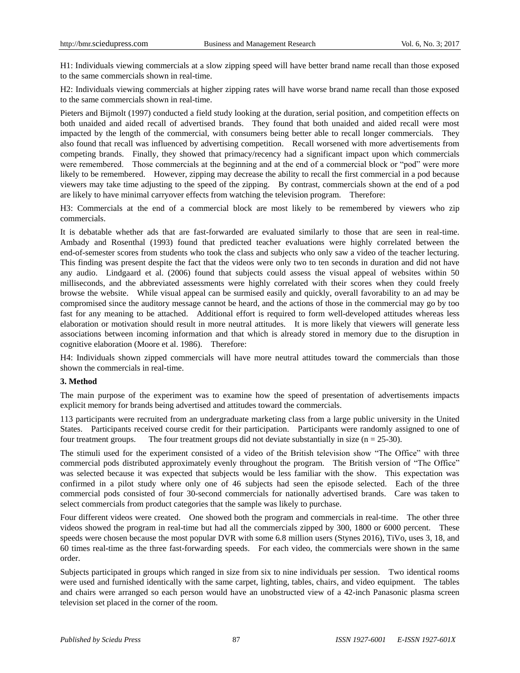H1: Individuals viewing commercials at a slow zipping speed will have better brand name recall than those exposed to the same commercials shown in real-time.

H2: Individuals viewing commercials at higher zipping rates will have worse brand name recall than those exposed to the same commercials shown in real-time.

Pieters and Bijmolt (1997) conducted a field study looking at the duration, serial position, and competition effects on both unaided and aided recall of advertised brands. They found that both unaided and aided recall were most impacted by the length of the commercial, with consumers being better able to recall longer commercials. They also found that recall was influenced by advertising competition. Recall worsened with more advertisements from competing brands. Finally, they showed that primacy/recency had a significant impact upon which commercials were remembered. Those commercials at the beginning and at the end of a commercial block or "pod" were more likely to be remembered. However, zipping may decrease the ability to recall the first commercial in a pod because viewers may take time adjusting to the speed of the zipping. By contrast, commercials shown at the end of a pod are likely to have minimal carryover effects from watching the television program. Therefore:

H3: Commercials at the end of a commercial block are most likely to be remembered by viewers who zip commercials.

It is debatable whether ads that are fast-forwarded are evaluated similarly to those that are seen in real-time. Ambady and Rosenthal (1993) found that predicted teacher evaluations were highly correlated between the end-of-semester scores from students who took the class and subjects who only saw a video of the teacher lecturing. This finding was present despite the fact that the videos were only two to ten seconds in duration and did not have any audio. Lindgaard et al. (2006) found that subjects could assess the visual appeal of websites within 50 milliseconds, and the abbreviated assessments were highly correlated with their scores when they could freely browse the website. While visual appeal can be surmised easily and quickly, overall favorability to an ad may be compromised since the auditory message cannot be heard, and the actions of those in the commercial may go by too fast for any meaning to be attached. Additional effort is required to form well-developed attitudes whereas less elaboration or motivation should result in more neutral attitudes. It is more likely that viewers will generate less associations between incoming information and that which is already stored in memory due to the disruption in cognitive elaboration (Moore et al. 1986). Therefore:

H4: Individuals shown zipped commercials will have more neutral attitudes toward the commercials than those shown the commercials in real-time.

# **3. Method**

The main purpose of the experiment was to examine how the speed of presentation of advertisements impacts explicit memory for brands being advertised and attitudes toward the commercials.

113 participants were recruited from an undergraduate marketing class from a large public university in the United States. Participants received course credit for their participation. Participants were randomly assigned to one of four treatment groups. The four treatment groups did not deviate substantially in size  $(n = 25-30)$ .

The stimuli used for the experiment consisted of a video of the British television show "The Office" with three commercial pods distributed approximately evenly throughout the program. The British version of "The Office" was selected because it was expected that subjects would be less familiar with the show. This expectation was confirmed in a pilot study where only one of 46 subjects had seen the episode selected. Each of the three commercial pods consisted of four 30-second commercials for nationally advertised brands. Care was taken to select commercials from product categories that the sample was likely to purchase.

Four different videos were created. One showed both the program and commercials in real-time. The other three videos showed the program in real-time but had all the commercials zipped by 300, 1800 or 6000 percent. These speeds were chosen because the most popular DVR with some 6.8 million users (Stynes 2016), TiVo, uses 3, 18, and 60 times real-time as the three fast-forwarding speeds. For each video, the commercials were shown in the same order.

Subjects participated in groups which ranged in size from six to nine individuals per session. Two identical rooms were used and furnished identically with the same carpet, lighting, tables, chairs, and video equipment. The tables and chairs were arranged so each person would have an unobstructed view of a 42-inch Panasonic plasma screen television set placed in the corner of the room.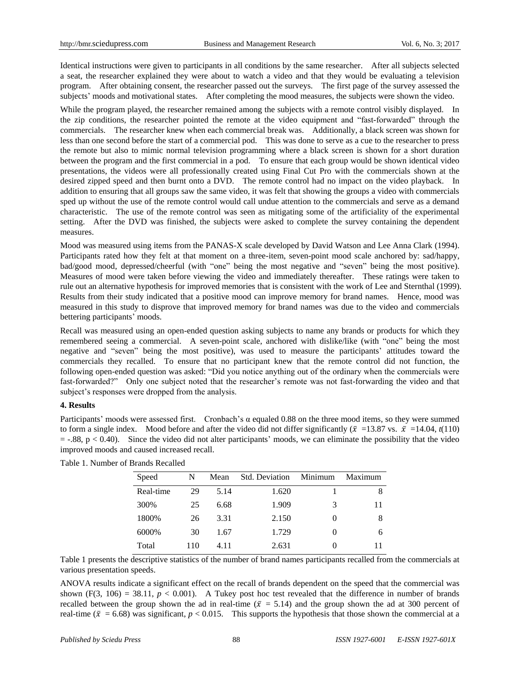Identical instructions were given to participants in all conditions by the same researcher. After all subjects selected a seat, the researcher explained they were about to watch a video and that they would be evaluating a television program. After obtaining consent, the researcher passed out the surveys. The first page of the survey assessed the subjects' moods and motivational states. After completing the mood measures, the subjects were shown the video.

While the program played, the researcher remained among the subjects with a remote control visibly displayed. In the zip conditions, the researcher pointed the remote at the video equipment and "fast-forwarded" through the commercials. The researcher knew when each commercial break was. Additionally, a black screen was shown for less than one second before the start of a commercial pod. This was done to serve as a cue to the researcher to press the remote but also to mimic normal television programming where a black screen is shown for a short duration between the program and the first commercial in a pod. To ensure that each group would be shown identical video presentations, the videos were all professionally created using Final Cut Pro with the commercials shown at the desired zipped speed and then burnt onto a DVD. The remote control had no impact on the video playback. In addition to ensuring that all groups saw the same video, it was felt that showing the groups a video with commercials sped up without the use of the remote control would call undue attention to the commercials and serve as a demand characteristic. The use of the remote control was seen as mitigating some of the artificiality of the experimental setting. After the DVD was finished, the subjects were asked to complete the survey containing the dependent measures.

Mood was measured using items from the PANAS-X scale developed by David Watson and Lee Anna Clark (1994). Participants rated how they felt at that moment on a three-item, seven-point mood scale anchored by: sad/happy, bad/good mood, depressed/cheerful (with "one" being the most negative and "seven" being the most positive). Measures of mood were taken before viewing the video and immediately thereafter. These ratings were taken to rule out an alternative hypothesis for improved memories that is consistent with the work of Lee and Sternthal (1999). Results from their study indicated that a positive mood can improve memory for brand names. Hence, mood was measured in this study to disprove that improved memory for brand names was due to the video and commercials bettering participants' moods.

Recall was measured using an open-ended question asking subjects to name any brands or products for which they remembered seeing a commercial. A seven-point scale, anchored with dislike/like (with "one" being the most negative and "seven" being the most positive), was used to measure the participants' attitudes toward the commercials they recalled. To ensure that no participant knew that the remote control did not function, the following open-ended question was asked: "Did you notice anything out of the ordinary when the commercials were fast-forwarded?" Only one subject noted that the researcher's remote was not fast-forwarding the video and that subject's responses were dropped from the analysis.

# **4. Results**

Participants' moods were assessed first. Cronbach's α equaled 0.88 on the three mood items, so they were summed to form a single index. Mood before and after the video did not differ significantly ( $\bar{x}$  =13.87 vs.  $\bar{x}$  =14.04,  $t(110)$ )  $=$  -.88,  $p < 0.40$ ). Since the video did not alter participants' moods, we can eliminate the possibility that the video improved moods and caused increased recall.

| Speed     | N   | Mean  | <b>Std. Deviation</b> | Minimum | Maximum |
|-----------|-----|-------|-----------------------|---------|---------|
| Real-time | 29  | 5.14  | 1.620                 |         | 8       |
| 300%      | 25  | 6.68  | 1.909                 | 3       | 11      |
| 1800%     | 26  | 3.31  | 2.150                 |         | 8       |
| 6000%     | 30  | 1.67  | 1.729                 |         | 6       |
| Total     | 110 | 4 1 1 | 2.631                 |         |         |

Table 1. Number of Brands Recalled

Table 1 presents the descriptive statistics of the number of brand names participants recalled from the commercials at various presentation speeds.

ANOVA results indicate a significant effect on the recall of brands dependent on the speed that the commercial was shown  $(F(3, 106) = 38.11, p < 0.001)$ . A Tukey post hoc test revealed that the difference in number of brands recalled between the group shown the ad in real-time ( $\bar{x} = 5.14$ ) and the group shown the ad at 300 percent of real-time ( $\bar{x}$  = 6.68) was significant,  $p < 0.015$ . This supports the hypothesis that those shown the commercial at a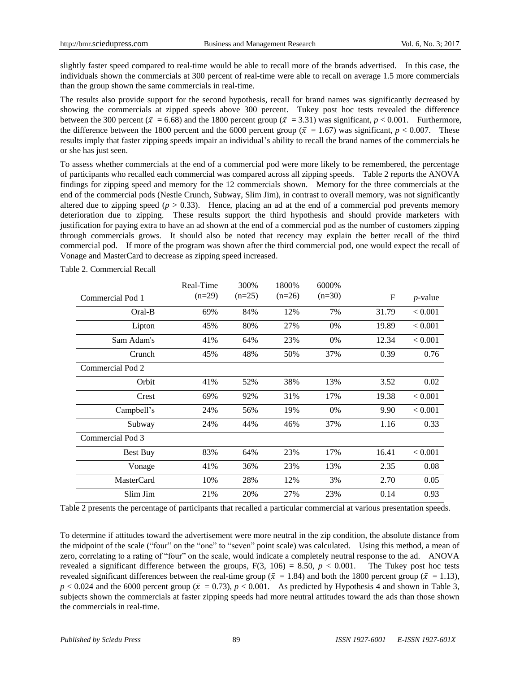slightly faster speed compared to real-time would be able to recall more of the brands advertised. In this case, the individuals shown the commercials at 300 percent of real-time were able to recall on average 1.5 more commercials than the group shown the same commercials in real-time.

The results also provide support for the second hypothesis, recall for brand names was significantly decreased by showing the commercials at zipped speeds above 300 percent. Tukey post hoc tests revealed the difference between the 300 percent ( $\bar{x} = 6.68$ ) and the 1800 percent group ( $\bar{x} = 3.31$ ) was significant,  $p < 0.001$ . Furthermore, the difference between the 1800 percent and the 6000 percent group ( $\bar{x} = 1.67$ ) was significant,  $p < 0.007$ . These results imply that faster zipping speeds impair an individual's ability to recall the brand names of the commercials he or she has just seen.

To assess whether commercials at the end of a commercial pod were more likely to be remembered, the percentage of participants who recalled each commercial was compared across all zipping speeds. Table 2 reports the ANOVA findings for zipping speed and memory for the 12 commercials shown. Memory for the three commercials at the end of the commercial pods (Nestle Crunch, Subway, Slim Jim), in contrast to overall memory, was not significantly altered due to zipping speed  $(p > 0.33)$ . Hence, placing an ad at the end of a commercial pod prevents memory deterioration due to zipping. These results support the third hypothesis and should provide marketers with justification for paying extra to have an ad shown at the end of a commercial pod as the number of customers zipping through commercials grows. It should also be noted that recency may explain the better recall of the third commercial pod. If more of the program was shown after the third commercial pod, one would expect the recall of Vonage and MasterCard to decrease as zipping speed increased.

|                   | Real-Time | 300%     | 1800%    | 6000%    |       |            |
|-------------------|-----------|----------|----------|----------|-------|------------|
| Commercial Pod 1  | $(n=29)$  | $(n=25)$ | $(n=26)$ | $(n=30)$ | F     | $p$ -value |
| Oral-B            | 69%       | 84%      | 12%      | 7%       | 31.79 | < 0.001    |
| Lipton            | 45%       | 80%      | 27%      | 0%       | 19.89 | < 0.001    |
| Sam Adam's        | 41%       | 64%      | 23%      | 0%       | 12.34 | < 0.001    |
| Crunch            | 45%       | 48%      | 50%      | 37%      | 0.39  | 0.76       |
| Commercial Pod 2  |           |          |          |          |       |            |
| Orbit             | 41%       | 52%      | 38%      | 13%      | 3.52  | 0.02       |
| Crest             | 69%       | 92%      | 31%      | 17%      | 19.38 | < 0.001    |
| Campbell's        | 24%       | 56%      | 19%      | 0%       | 9.90  | < 0.001    |
| Subway            | 24%       | 44%      | 46%      | 37%      | 1.16  | 0.33       |
| Commercial Pod 3  |           |          |          |          |       |            |
| <b>Best Buy</b>   | 83%       | 64%      | 23%      | 17%      | 16.41 | < 0.001    |
| Vonage            | 41%       | 36%      | 23%      | 13%      | 2.35  | 0.08       |
| <b>MasterCard</b> | 10%       | 28%      | 12%      | 3%       | 2.70  | 0.05       |
| Slim Jim          | 21%       | 20%      | 27%      | 23%      | 0.14  | 0.93       |

Table 2. Commercial Recall

Table 2 presents the percentage of participants that recalled a particular commercial at various presentation speeds.

To determine if attitudes toward the advertisement were more neutral in the zip condition, the absolute distance from the midpoint of the scale ("four" on the "one" to "seven" point scale) was calculated. Using this method, a mean of zero, correlating to a rating of "four" on the scale, would indicate a completely neutral response to the ad. ANOVA revealed a significant difference between the groups,  $F(3, 106) = 8.50$ ,  $p < 0.001$ . The Tukey post hoc tests revealed significant differences between the real-time group ( $\bar{x} = 1.84$ ) and both the 1800 percent group ( $\bar{x} = 1.13$ ),  $p < 0.024$  and the 6000 percent group ( $\bar{x} = 0.73$ ),  $p < 0.001$ . As predicted by Hypothesis 4 and shown in Table 3, subjects shown the commercials at faster zipping speeds had more neutral attitudes toward the ads than those shown the commercials in real-time.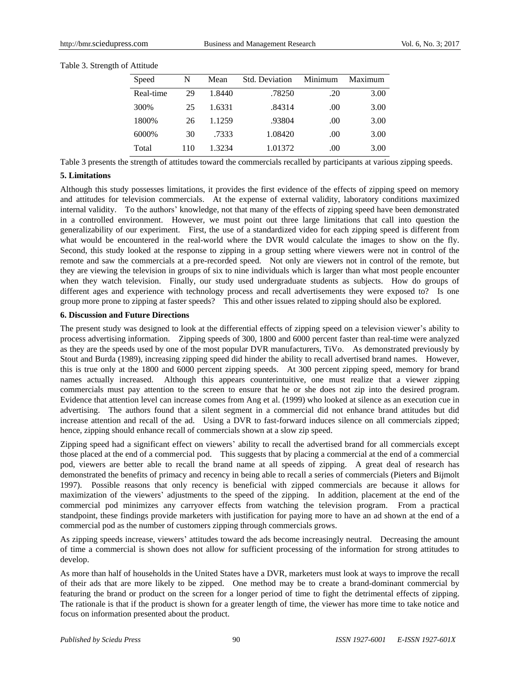| Speed     | N   | Mean   | Std. Deviation | Minimum | Maximum |
|-----------|-----|--------|----------------|---------|---------|
| Real-time | 29  | 1.8440 | .78250         | .20     | 3.00    |
| 300%      | 25  | 1.6331 | .84314         | .00     | 3.00    |
| 1800%     | 26  | 1.1259 | .93804         | .00     | 3.00    |
| 6000%     | 30  | .7333  | 1.08420        | .00     | 3.00    |
| Total     | 110 | 1.3234 | 1.01372        | .00     | 3.00    |

Table 3. Strength of Attitude

Table 3 presents the strength of attitudes toward the commercials recalled by participants at various zipping speeds.

## **5. Limitations**

Although this study possesses limitations, it provides the first evidence of the effects of zipping speed on memory and attitudes for television commercials. At the expense of external validity, laboratory conditions maximized internal validity. To the authors' knowledge, not that many of the effects of zipping speed have been demonstrated in a controlled environment. However, we must point out three large limitations that call into question the generalizability of our experiment. First, the use of a standardized video for each zipping speed is different from what would be encountered in the real-world where the DVR would calculate the images to show on the fly. Second, this study looked at the response to zipping in a group setting where viewers were not in control of the remote and saw the commercials at a pre-recorded speed. Not only are viewers not in control of the remote, but they are viewing the television in groups of six to nine individuals which is larger than what most people encounter when they watch television. Finally, our study used undergraduate students as subjects. How do groups of different ages and experience with technology process and recall advertisements they were exposed to? Is one group more prone to zipping at faster speeds? This and other issues related to zipping should also be explored.

## **6. Discussion and Future Directions**

The present study was designed to look at the differential effects of zipping speed on a television viewer's ability to process advertising information. Zipping speeds of 300, 1800 and 6000 percent faster than real-time were analyzed as they are the speeds used by one of the most popular DVR manufacturers, TiVo. As demonstrated previously by Stout and Burda (1989), increasing zipping speed did hinder the ability to recall advertised brand names. However, this is true only at the 1800 and 6000 percent zipping speeds. At 300 percent zipping speed, memory for brand names actually increased. Although this appears counterintuitive, one must realize that a viewer zipping commercials must pay attention to the screen to ensure that he or she does not zip into the desired program. Evidence that attention level can increase comes from Ang et al. (1999) who looked at silence as an execution cue in advertising. The authors found that a silent segment in a commercial did not enhance brand attitudes but did increase attention and recall of the ad. Using a DVR to fast-forward induces silence on all commercials zipped; hence, zipping should enhance recall of commercials shown at a slow zip speed.

Zipping speed had a significant effect on viewers' ability to recall the advertised brand for all commercials except those placed at the end of a commercial pod. This suggests that by placing a commercial at the end of a commercial pod, viewers are better able to recall the brand name at all speeds of zipping. A great deal of research has demonstrated the benefits of primacy and recency in being able to recall a series of commercials (Pieters and Bijmolt 1997). Possible reasons that only recency is beneficial with zipped commercials are because it allows for maximization of the viewers' adjustments to the speed of the zipping. In addition, placement at the end of the commercial pod minimizes any carryover effects from watching the television program. From a practical standpoint, these findings provide marketers with justification for paying more to have an ad shown at the end of a commercial pod as the number of customers zipping through commercials grows.

As zipping speeds increase, viewers' attitudes toward the ads become increasingly neutral. Decreasing the amount of time a commercial is shown does not allow for sufficient processing of the information for strong attitudes to develop.

As more than half of households in the United States have a DVR, marketers must look at ways to improve the recall of their ads that are more likely to be zipped. One method may be to create a brand-dominant commercial by featuring the brand or product on the screen for a longer period of time to fight the detrimental effects of zipping. The rationale is that if the product is shown for a greater length of time, the viewer has more time to take notice and focus on information presented about the product.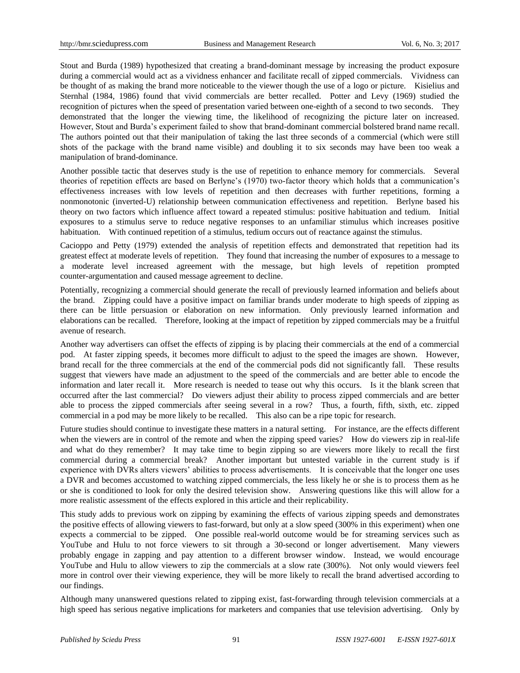Stout and Burda (1989) hypothesized that creating a brand-dominant message by increasing the product exposure during a commercial would act as a vividness enhancer and facilitate recall of zipped commercials. Vividness can be thought of as making the brand more noticeable to the viewer though the use of a logo or picture. Kisielius and Sternhal (1984, 1986) found that vivid commercials are better recalled. Potter and Levy (1969) studied the recognition of pictures when the speed of presentation varied between one-eighth of a second to two seconds. They demonstrated that the longer the viewing time, the likelihood of recognizing the picture later on increased. However, Stout and Burda's experiment failed to show that brand-dominant commercial bolstered brand name recall. The authors pointed out that their manipulation of taking the last three seconds of a commercial (which were still shots of the package with the brand name visible) and doubling it to six seconds may have been too weak a manipulation of brand-dominance.

Another possible tactic that deserves study is the use of repetition to enhance memory for commercials. Several theories of repetition effects are based on Berlyne's (1970) two-factor theory which holds that a communication's effectiveness increases with low levels of repetition and then decreases with further repetitions, forming a nonmonotonic (inverted-U) relationship between communication effectiveness and repetition. Berlyne based his theory on two factors which influence affect toward a repeated stimulus: positive habituation and tedium. Initial exposures to a stimulus serve to reduce negative responses to an unfamiliar stimulus which increases positive habituation. With continued repetition of a stimulus, tedium occurs out of reactance against the stimulus.

Cacioppo and Petty (1979) extended the analysis of repetition effects and demonstrated that repetition had its greatest effect at moderate levels of repetition. They found that increasing the number of exposures to a message to a moderate level increased agreement with the message, but high levels of repetition prompted counter-argumentation and caused message agreement to decline.

Potentially, recognizing a commercial should generate the recall of previously learned information and beliefs about the brand. Zipping could have a positive impact on familiar brands under moderate to high speeds of zipping as there can be little persuasion or elaboration on new information. Only previously learned information and elaborations can be recalled. Therefore, looking at the impact of repetition by zipped commercials may be a fruitful avenue of research.

Another way advertisers can offset the effects of zipping is by placing their commercials at the end of a commercial pod. At faster zipping speeds, it becomes more difficult to adjust to the speed the images are shown. However, brand recall for the three commercials at the end of the commercial pods did not significantly fall. These results suggest that viewers have made an adjustment to the speed of the commercials and are better able to encode the information and later recall it. More research is needed to tease out why this occurs. Is it the blank screen that occurred after the last commercial? Do viewers adjust their ability to process zipped commercials and are better able to process the zipped commercials after seeing several in a row? Thus, a fourth, fifth, sixth, etc. zipped commercial in a pod may be more likely to be recalled. This also can be a ripe topic for research.

Future studies should continue to investigate these matters in a natural setting. For instance, are the effects different when the viewers are in control of the remote and when the zipping speed varies? How do viewers zip in real-life and what do they remember? It may take time to begin zipping so are viewers more likely to recall the first commercial during a commercial break? Another important but untested variable in the current study is if experience with DVRs alters viewers' abilities to process advertisements. It is conceivable that the longer one uses a DVR and becomes accustomed to watching zipped commercials, the less likely he or she is to process them as he or she is conditioned to look for only the desired television show. Answering questions like this will allow for a more realistic assessment of the effects explored in this article and their replicability.

This study adds to previous work on zipping by examining the effects of various zipping speeds and demonstrates the positive effects of allowing viewers to fast-forward, but only at a slow speed (300% in this experiment) when one expects a commercial to be zipped. One possible real-world outcome would be for streaming services such as YouTube and Hulu to not force viewers to sit through a 30-second or longer advertisement. Many viewers probably engage in zapping and pay attention to a different browser window. Instead, we would encourage YouTube and Hulu to allow viewers to zip the commercials at a slow rate (300%). Not only would viewers feel more in control over their viewing experience, they will be more likely to recall the brand advertised according to our findings.

Although many unanswered questions related to zipping exist, fast-forwarding through television commercials at a high speed has serious negative implications for marketers and companies that use television advertising. Only by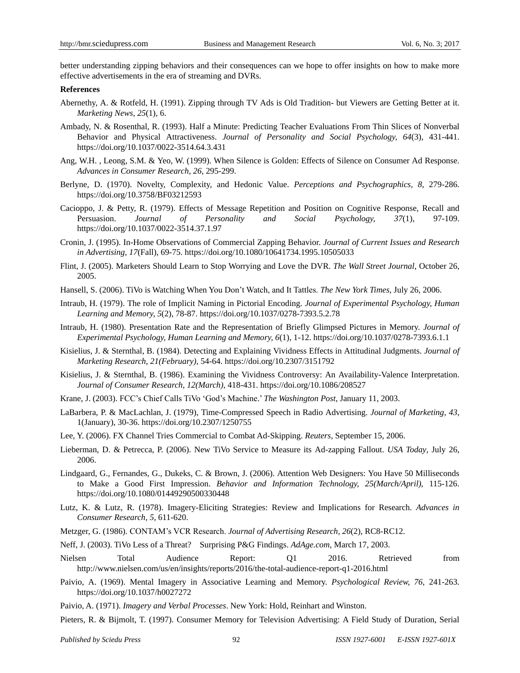better understanding zipping behaviors and their consequences can we hope to offer insights on how to make more effective advertisements in the era of streaming and DVRs.

#### **References**

- Abernethy, A. & Rotfeld, H. (1991). Zipping through TV Ads is Old Tradition- but Viewers are Getting Better at it. *Marketing News, 25*(1), 6.
- Ambady, N. & Rosenthal, R. (1993). Half a Minute: Predicting Teacher Evaluations From Thin Slices of Nonverbal Behavior and Physical Attractiveness. *Journal of Personality and Social Psychology, 64*(3), 431-441. https://doi.org/10.1037/0022-3514.64.3.431
- Ang, W.H. , Leong, S.M. & Yeo, W. (1999). When Silence is Golden: Effects of Silence on Consumer Ad Response. *Advances in Consumer Research, 26*, 295-299.
- Berlyne, D. (1970). Novelty, Complexity, and Hedonic Value. *Perceptions and Psychographics, 8*, 279-286. https://doi.org/10.3758/BF03212593
- Cacioppo, J. & Petty, R. (1979). Effects of Message Repetition and Position on Cognitive Response, Recall and Persuasion. *Journal of Personality and Social Psychology, 37*(1), 97-109. https://doi.org/10.1037/0022-3514.37.1.97
- Cronin, J. (1995). In-Home Observations of Commercial Zapping Behavior. *Journal of Current Issues and Research in Advertising, 17*(Fall), 69-75. https://doi.org/10.1080/10641734.1995.10505033
- Flint, J. (2005). Marketers Should Learn to Stop Worrying and Love the DVR. *The Wall Street Journal*, October 26, 2005.
- Hansell, S. (2006). TiVo is Watching When You Don't Watch, and It Tattles. *The New York Times*, July 26, 2006.
- Intraub, H. (1979). The role of Implicit Naming in Pictorial Encoding. *Journal of Experimental Psychology, Human Learning and Memory, 5*(2), 78-87. https://doi.org/10.1037/0278-7393.5.2.78
- Intraub, H. (1980). Presentation Rate and the Representation of Briefly Glimpsed Pictures in Memory. *Journal of Experimental Psychology, Human Learning and Memory, 6*(1), 1-12. https://doi.org/10.1037/0278-7393.6.1.1
- Kisielius, J. & Sternthal, B. (1984). Detecting and Explaining Vividness Effects in Attitudinal Judgments. *Journal of Marketing Research*, *21(February)*, 54-64. https://doi.org/10.2307/3151792
- Kisielius, J. & Sternthal, B. (1986). Examining the Vividness Controversy: An Availability-Valence Interpretation. *Journal of Consumer Research, 12(March)*, 418-431. https://doi.org/10.1086/208527
- Krane, J. (2003). FCC's Chief Calls TiVo 'God's Machine.' *The Washington Post*, January 11, 2003.
- LaBarbera, P. & MacLachlan, J. (1979), Time-Compressed Speech in Radio Advertising. *Journal of Marketing, 43*, 1(January), 30-36. https://doi.org/10.2307/1250755
- Lee, Y. (2006). FX Channel Tries Commercial to Combat Ad-Skipping. *Reuters*, September 15, 2006.
- Lieberman, D. & Petrecca, P. (2006). New TiVo Service to Measure its Ad-zapping Fallout. *USA Today*, July 26, 2006.
- Lindgaard, G., Fernandes, G., Dukeks, C. & Brown, J. (2006). Attention Web Designers: You Have 50 Milliseconds to Make a Good First Impression. *Behavior and Information Technology, 25(March/April)*, 115-126. https://doi.org/10.1080/01449290500330448
- Lutz, K. & Lutz, R. (1978). Imagery-Eliciting Strategies: Review and Implications for Research. *Advances in Consumer Research, 5*, 611-620.
- Metzger, G. (1986). CONTAM's VCR Research. *Journal of Advertising Research, 26*(2), RC8-RC12.
- Neff, J. (2003). TiVo Less of a Threat? Surprising P&G Findings. *AdAge.com*, March 17, 2003.
- Nielsen Total Audience Report: Q1 2016. Retrieved from http://www.nielsen.com/us/en/insights/reports/2016/the-total-audience-report-q1-2016.html
- Paivio, A. (1969). Mental Imagery in Associative Learning and Memory. *Psychological Review, 76*, 241-263. https://doi.org/10.1037/h0027272
- Paivio, A. (1971). *Imagery and Verbal Processes*. New York: Hold, Reinhart and Winston.
- Pieters, R. & Bijmolt, T. (1997). Consumer Memory for Television Advertising: A Field Study of Duration, Serial